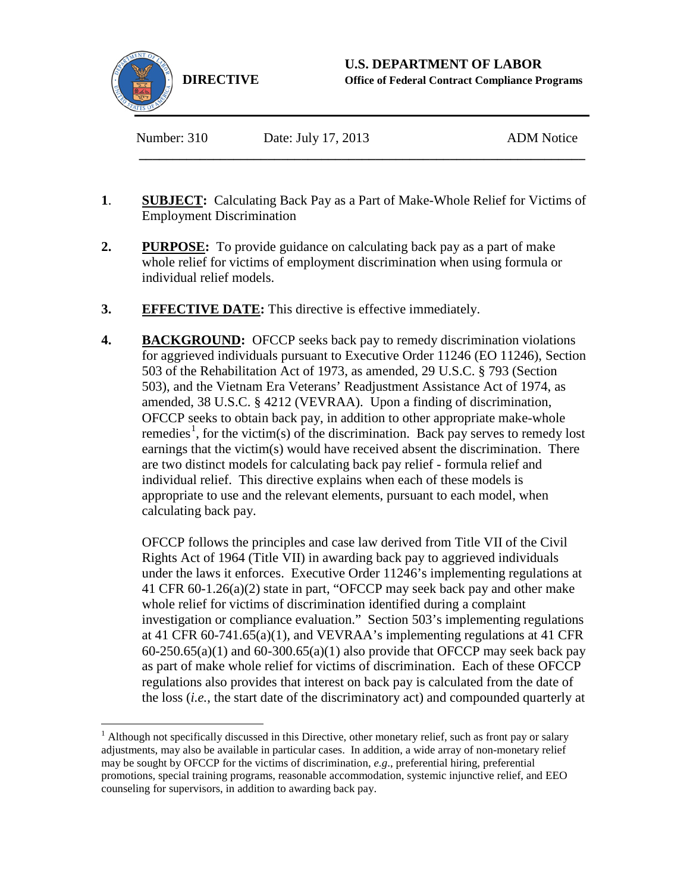

Number: 310 Date: July 17, 2013 ADM Notice

**1**. **SUBJECT:** Calculating Back Pay as a Part of Make-Whole Relief for Victims of Employment Discrimination

**\_\_\_\_\_\_\_\_\_\_\_\_\_\_\_\_\_\_\_\_\_\_\_\_\_\_\_\_\_\_\_\_\_\_\_\_\_\_\_\_\_\_\_\_\_\_\_\_\_\_\_\_\_\_\_\_\_\_\_\_\_\_\_\_\_\_** 

- **2. PURPOSE:** To provide guidance on calculating back pay as a part of make whole relief for victims of employment discrimination when using formula or individual relief models.
- **3. EFFECTIVE DATE:** This directive is effective immediately.
- **4. BACKGROUND:** OFCCP seeks back pay to remedy discrimination violations for aggrieved individuals pursuant to Executive Order 11246 (EO 11246), Section 503 of the Rehabilitation Act of 1973, as amended, 29 U.S.C. § 793 (Section 503), and the Vietnam Era Veterans' Readjustment Assistance Act of 1974, as amended, 38 U.S.C. § 4212 (VEVRAA). Upon a finding of discrimination, OFCCP seeks to obtain back pay, in addition to other appropriate make-whole remedies<sup>[1](#page-0-0)</sup>, for the victim(s) of the discrimination. Back pay serves to remedy lost earnings that the victim(s) would have received absent the discrimination. There are two distinct models for calculating back pay relief - formula relief and individual relief. This directive explains when each of these models is appropriate to use and the relevant elements, pursuant to each model, when calculating back pay.

OFCCP follows the principles and case law derived from Title VII of the Civil Rights Act of 1964 (Title VII) in awarding back pay to aggrieved individuals under the laws it enforces. Executive Order 11246's implementing regulations at 41 CFR 60-1.26(a)(2) state in part, "OFCCP may seek back pay and other make whole relief for victims of discrimination identified during a complaint investigation or compliance evaluation." Section 503's implementing regulations at 41 CFR 60-741.65(a)(1), and VEVRAA's implementing regulations at 41 CFR  $60-250.65(a)(1)$  and  $60-300.65(a)(1)$  also provide that OFCCP may seek back pay as part of make whole relief for victims of discrimination. Each of these OFCCP regulations also provides that interest on back pay is calculated from the date of the loss (*i.e.*, the start date of the discriminatory act) and compounded quarterly at

<span id="page-0-0"></span> $<sup>1</sup>$  Although not specifically discussed in this Directive, other monetary relief, such as front pay or salary</sup> adjustments, may also be available in particular cases. In addition, a wide array of non-monetary relief may be sought by OFCCP for the victims of discrimination, *e.g*., preferential hiring, preferential promotions, special training programs, reasonable accommodation, systemic injunctive relief, and EEO counseling for supervisors, in addition to awarding back pay.  $\overline{a}$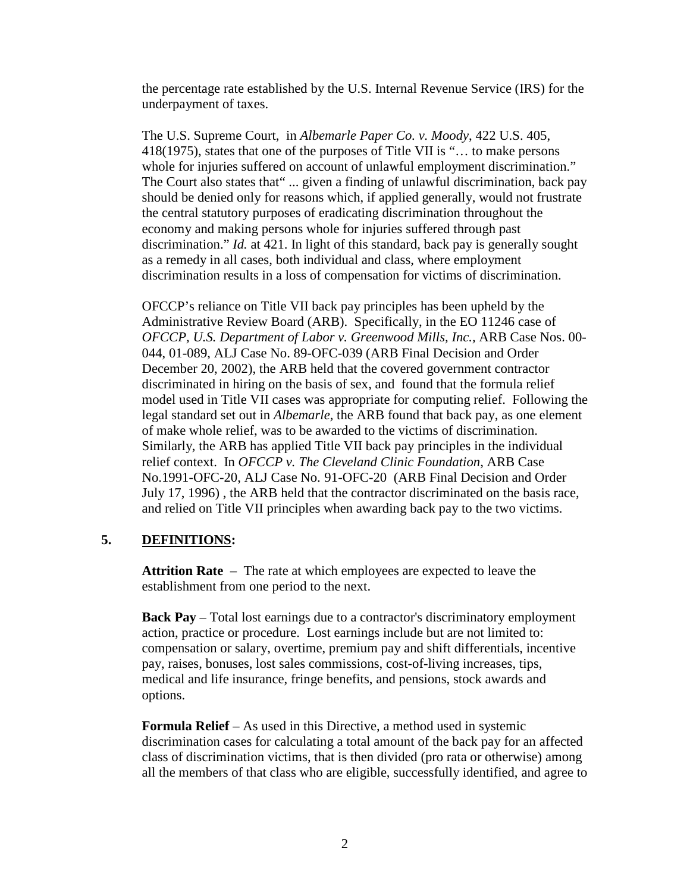the percentage rate established by the U.S. Internal Revenue Service (IRS) for the underpayment of taxes.

The U.S. Supreme Court, in *Albemarle Paper Co. v. Moody*, 422 U.S. 405, 418(1975), states that one of the purposes of Title VII is "… to make persons whole for injuries suffered on account of unlawful employment discrimination." The Court also states that" ... given a finding of unlawful discrimination, back pay should be denied only for reasons which, if applied generally, would not frustrate the central statutory purposes of eradicating discrimination throughout the economy and making persons whole for injuries suffered through past discrimination." *Id.* at 421. In light of this standard, back pay is generally sought as a remedy in all cases, both individual and class, where employment discrimination results in a loss of compensation for victims of discrimination.

OFCCP's reliance on Title VII back pay principles has been upheld by the Administrative Review Board (ARB). Specifically, in the EO 11246 case of *OFCCP, U.S. Department of Labor v. Greenwood Mills, Inc.,* ARB Case Nos. 00- 044, 01-089, ALJ Case No. 89-OFC-039 (ARB Final Decision and Order December 20, 2002), the ARB held that the covered government contractor discriminated in hiring on the basis of sex, and found that the formula relief model used in Title VII cases was appropriate for computing relief. Following the legal standard set out in *Albemarle,* the ARB found that back pay, as one element of make whole relief, was to be awarded to the victims of discrimination. Similarly, the ARB has applied Title VII back pay principles in the individual relief context. In *OFCCP v. The Cleveland Clinic Foundation*, ARB Case No.1991-OFC-20, ALJ Case No. 91-OFC-20 (ARB Final Decision and Order July 17, 1996) , the ARB held that the contractor discriminated on the basis race, and relied on Title VII principles when awarding back pay to the two victims.

## **5. DEFINITIONS:**

**Attrition Rate** – The rate at which employees are expected to leave the establishment from one period to the next.

**Back Pay** – Total lost earnings due to a contractor's discriminatory employment action, practice or procedure. Lost earnings include but are not limited to: compensation or salary, overtime, premium pay and shift differentials, incentive pay, raises, bonuses, lost sales commissions, cost-of-living increases, tips, medical and life insurance, fringe benefits, and pensions, stock awards and options.

**Formula Relief** – As used in this Directive, a method used in systemic discrimination cases for calculating a total amount of the back pay for an affected class of discrimination victims, that is then divided (pro rata or otherwise) among all the members of that class who are eligible, successfully identified, and agree to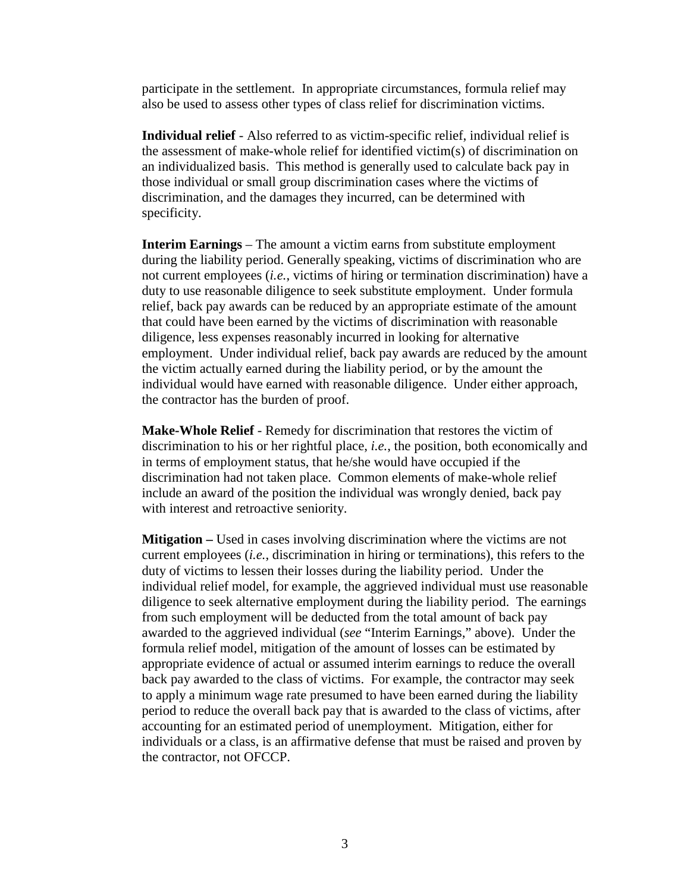participate in the settlement. In appropriate circumstances, formula relief may also be used to assess other types of class relief for discrimination victims.

**Individual relief** - Also referred to as victim-specific relief, individual relief is the assessment of make-whole relief for identified victim(s) of discrimination on an individualized basis. This method is generally used to calculate back pay in those individual or small group discrimination cases where the victims of discrimination, and the damages they incurred, can be determined with specificity.

**Interim Earnings** – The amount a victim earns from substitute employment during the liability period. Generally speaking, victims of discrimination who are not current employees (*i.e.*, victims of hiring or termination discrimination) have a duty to use reasonable diligence to seek substitute employment. Under formula relief, back pay awards can be reduced by an appropriate estimate of the amount that could have been earned by the victims of discrimination with reasonable diligence, less expenses reasonably incurred in looking for alternative employment. Under individual relief, back pay awards are reduced by the amount the victim actually earned during the liability period, or by the amount the individual would have earned with reasonable diligence. Under either approach, the contractor has the burden of proof.

**Make-Whole Relief** - Remedy for discrimination that restores the victim of discrimination to his or her rightful place, *i.e.*, the position, both economically and in terms of employment status, that he/she would have occupied if the discrimination had not taken place. Common elements of make-whole relief include an award of the position the individual was wrongly denied, back pay with interest and retroactive seniority.

**Mitigation –** Used in cases involving discrimination where the victims are not current employees (*i.e.*, discrimination in hiring or terminations), this refers to the duty of victims to lessen their losses during the liability period. Under the individual relief model, for example, the aggrieved individual must use reasonable diligence to seek alternative employment during the liability period. The earnings from such employment will be deducted from the total amount of back pay awarded to the aggrieved individual (*see* "Interim Earnings," above). Under the formula relief model, mitigation of the amount of losses can be estimated by appropriate evidence of actual or assumed interim earnings to reduce the overall back pay awarded to the class of victims. For example, the contractor may seek to apply a minimum wage rate presumed to have been earned during the liability period to reduce the overall back pay that is awarded to the class of victims, after accounting for an estimated period of unemployment. Mitigation, either for individuals or a class, is an affirmative defense that must be raised and proven by the contractor, not OFCCP.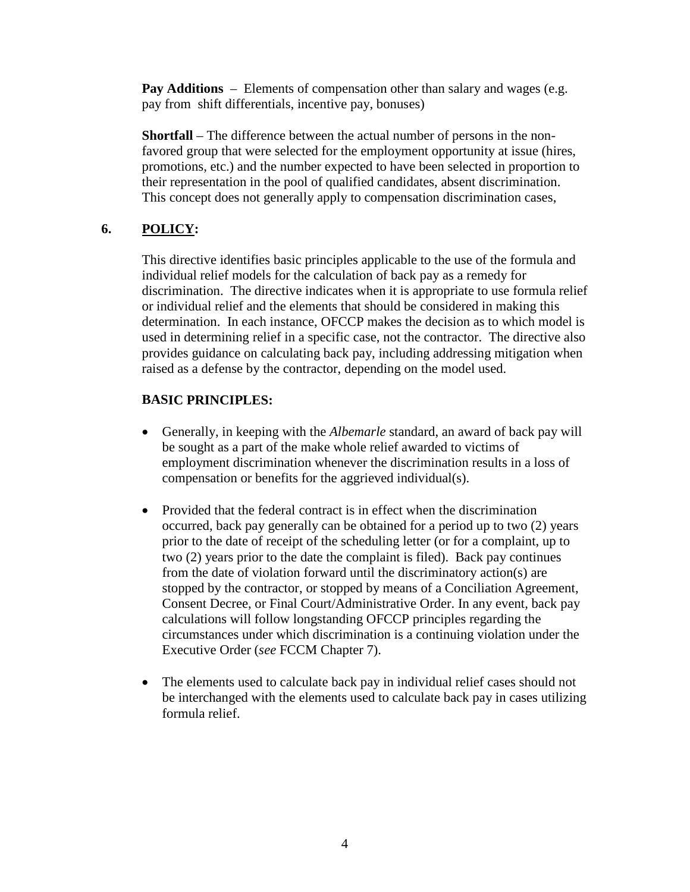**Pay Additions** – Elements of compensation other than salary and wages (e.g. pay from shift differentials, incentive pay, bonuses)

**Shortfall** – The difference between the actual number of persons in the nonfavored group that were selected for the employment opportunity at issue (hires, promotions, etc.) and the number expected to have been selected in proportion to their representation in the pool of qualified candidates, absent discrimination. This concept does not generally apply to compensation discrimination cases,

# **6. POLICY:**

This directive identifies basic principles applicable to the use of the formula and individual relief models for the calculation of back pay as a remedy for discrimination. The directive indicates when it is appropriate to use formula relief or individual relief and the elements that should be considered in making this determination. In each instance, OFCCP makes the decision as to which model is used in determining relief in a specific case, not the contractor. The directive also provides guidance on calculating back pay, including addressing mitigation when raised as a defense by the contractor, depending on the model used.

## **BASIC PRINCIPLES:**

- Generally, in keeping with the *Albemarle* standard, an award of back pay will be sought as a part of the make whole relief awarded to victims of employment discrimination whenever the discrimination results in a loss of compensation or benefits for the aggrieved individual(s).
- Provided that the federal contract is in effect when the discrimination occurred, back pay generally can be obtained for a period up to two (2) years prior to the date of receipt of the scheduling letter (or for a complaint, up to two (2) years prior to the date the complaint is filed). Back pay continues from the date of violation forward until the discriminatory action(s) are stopped by the contractor, or stopped by means of a Conciliation Agreement, Consent Decree, or Final Court/Administrative Order. In any event, back pay calculations will follow longstanding OFCCP principles regarding the circumstances under which discrimination is a continuing violation under the Executive Order (*see* FCCM Chapter 7).
- The elements used to calculate back pay in individual relief cases should not be interchanged with the elements used to calculate back pay in cases utilizing formula relief.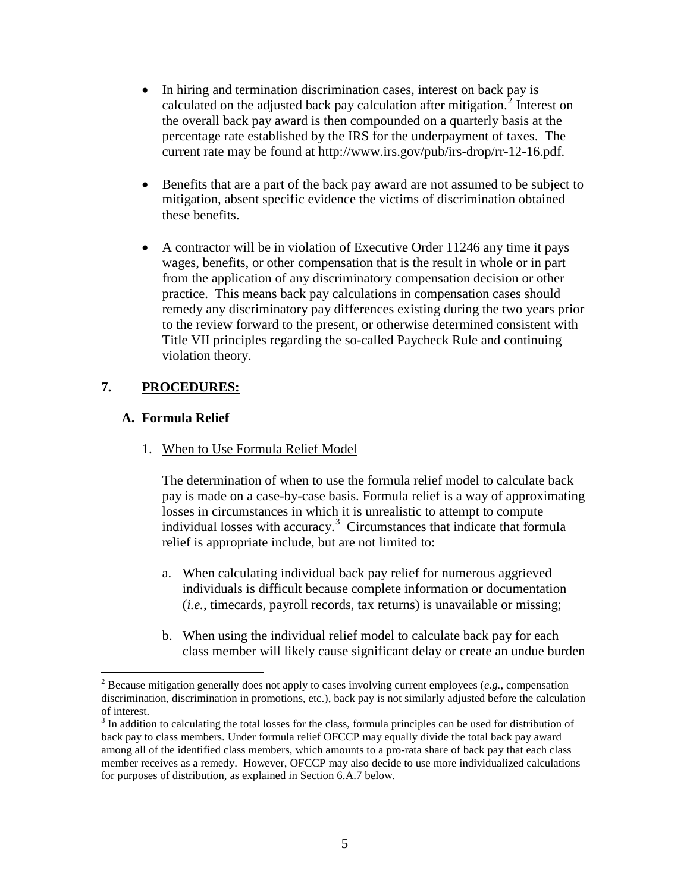- In hiring and termination discrimination cases, interest on back pay is calculated on the adjusted back pay calculation after mitigation.<sup>[2](#page-4-0)</sup> Interest on the overall back pay award is then compounded on a quarterly basis at the percentage rate established by the IRS for the underpayment of taxes. The current rate may be found at http://www.irs.gov/pub/irs-drop/rr-12-16.pdf.
- Benefits that are a part of the back pay award are not assumed to be subject to mitigation, absent specific evidence the victims of discrimination obtained these benefits.
- A contractor will be in violation of Executive Order 11246 any time it pays wages, benefits, or other compensation that is the result in whole or in part from the application of any discriminatory compensation decision or other practice. This means back pay calculations in compensation cases should remedy any discriminatory pay differences existing during the two years prior to the review forward to the present, or otherwise determined consistent with Title VII principles regarding the so-called Paycheck Rule and continuing violation theory.

## **7. PROCEDURES:**

## **A. Formula Relief**

 $\overline{a}$ 

1. When to Use Formula Relief Model

The determination of when to use the formula relief model to calculate back pay is made on a case-by-case basis. Formula relief is a way of approximating losses in circumstances in which it is unrealistic to attempt to compute individual losses with accuracy.<sup>[3](#page-4-1)</sup> Circumstances that indicate that formula relief is appropriate include, but are not limited to:

- a. When calculating individual back pay relief for numerous aggrieved individuals is difficult because complete information or documentation (*i.e.*, timecards, payroll records, tax returns) is unavailable or missing;
- b. When using the individual relief model to calculate back pay for each class member will likely cause significant delay or create an undue burden

<span id="page-4-0"></span><sup>2</sup> Because mitigation generally does not apply to cases involving current employees (*e.g.*, compensation discrimination, discrimination in promotions, etc.), back pay is not similarly adjusted before the calculation of interest.

<span id="page-4-1"></span><sup>&</sup>lt;sup>3</sup> In addition to calculating the total losses for the class, formula principles can be used for distribution of back pay to class members. Under formula relief OFCCP may equally divide the total back pay award among all of the identified class members, which amounts to a pro-rata share of back pay that each class member receives as a remedy. However, OFCCP may also decide to use more individualized calculations for purposes of distribution, as explained in Section 6.A.7 below.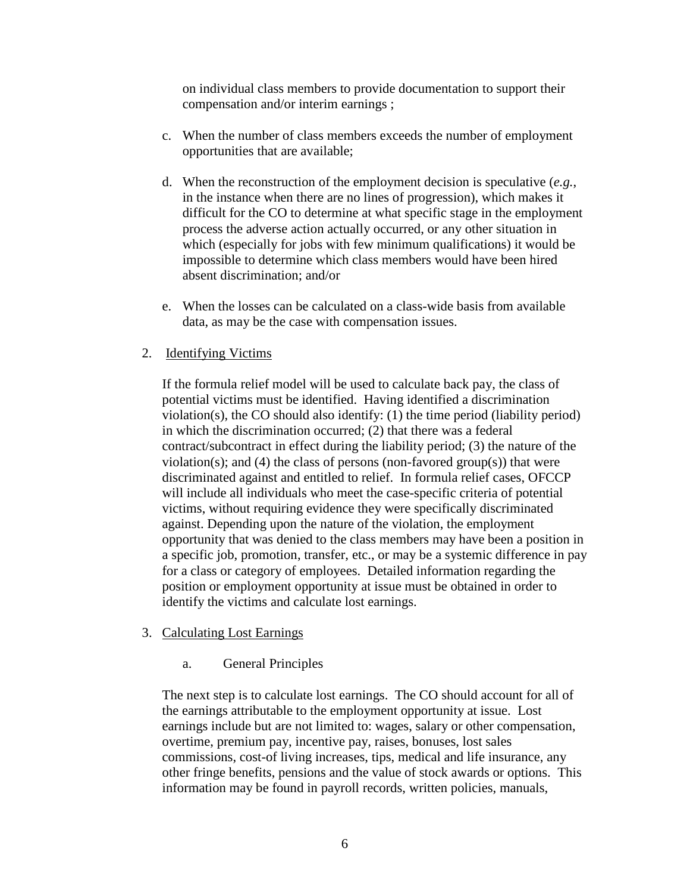on individual class members to provide documentation to support their compensation and/or interim earnings ;

- c. When the number of class members exceeds the number of employment opportunities that are available;
- d. When the reconstruction of the employment decision is speculative (*e.g.*, in the instance when there are no lines of progression), which makes it difficult for the CO to determine at what specific stage in the employment process the adverse action actually occurred, or any other situation in which (especially for jobs with few minimum qualifications) it would be impossible to determine which class members would have been hired absent discrimination; and/or
- e. When the losses can be calculated on a class-wide basis from available data, as may be the case with compensation issues.

## 2. Identifying Victims

If the formula relief model will be used to calculate back pay, the class of potential victims must be identified. Having identified a discrimination violation(s), the CO should also identify: (1) the time period (liability period) in which the discrimination occurred; (2) that there was a federal contract/subcontract in effect during the liability period; (3) the nature of the violation(s); and (4) the class of persons (non-favored group(s)) that were discriminated against and entitled to relief. In formula relief cases, OFCCP will include all individuals who meet the case-specific criteria of potential victims, without requiring evidence they were specifically discriminated against. Depending upon the nature of the violation, the employment opportunity that was denied to the class members may have been a position in a specific job, promotion, transfer, etc., or may be a systemic difference in pay for a class or category of employees. Detailed information regarding the position or employment opportunity at issue must be obtained in order to identify the victims and calculate lost earnings.

#### 3. Calculating Lost Earnings

a. General Principles

The next step is to calculate lost earnings. The CO should account for all of the earnings attributable to the employment opportunity at issue. Lost earnings include but are not limited to: wages, salary or other compensation, overtime, premium pay, incentive pay, raises, bonuses, lost sales commissions, cost-of living increases, tips, medical and life insurance, any other fringe benefits, pensions and the value of stock awards or options. This information may be found in payroll records, written policies, manuals,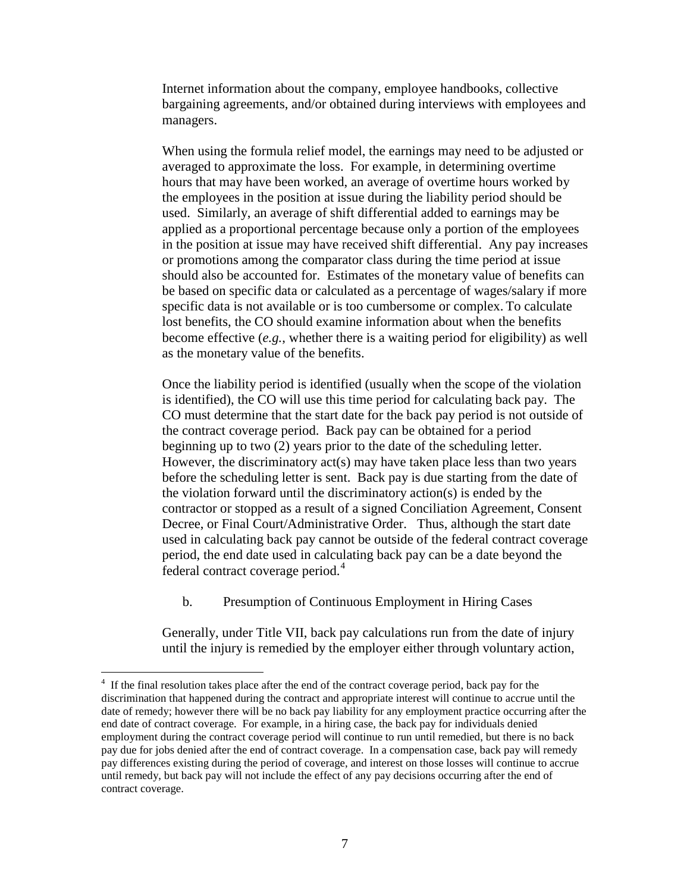Internet information about the company, employee handbooks, collective bargaining agreements, and/or obtained during interviews with employees and managers.

When using the formula relief model, the earnings may need to be adjusted or averaged to approximate the loss. For example, in determining overtime hours that may have been worked, an average of overtime hours worked by the employees in the position at issue during the liability period should be used. Similarly, an average of shift differential added to earnings may be applied as a proportional percentage because only a portion of the employees in the position at issue may have received shift differential. Any pay increases or promotions among the comparator class during the time period at issue should also be accounted for. Estimates of the monetary value of benefits can be based on specific data or calculated as a percentage of wages/salary if more specific data is not available or is too cumbersome or complex. To calculate lost benefits, the CO should examine information about when the benefits become effective (*e.g.*, whether there is a waiting period for eligibility) as well as the monetary value of the benefits.

Once the liability period is identified (usually when the scope of the violation is identified), the CO will use this time period for calculating back pay. The CO must determine that the start date for the back pay period is not outside of the contract coverage period. Back pay can be obtained for a period beginning up to two (2) years prior to the date of the scheduling letter. However, the discriminatory act(s) may have taken place less than two years before the scheduling letter is sent. Back pay is due starting from the date of the violation forward until the discriminatory action(s) is ended by the contractor or stopped as a result of a signed Conciliation Agreement, Consent Decree, or Final Court/Administrative Order. Thus, although the start date used in calculating back pay cannot be outside of the federal contract coverage period, the end date used in calculating back pay can be a date beyond the federal contract coverage period.<sup>[4](#page-6-0)</sup>

b. Presumption of Continuous Employment in Hiring Cases

Generally, under Title VII, back pay calculations run from the date of injury until the injury is remedied by the employer either through voluntary action,

<span id="page-6-0"></span><sup>&</sup>lt;sup>4</sup> If the final resolution takes place after the end of the contract coverage period, back pay for the discrimination that happened during the contract and appropriate interest will continue to accrue until the date of remedy; however there will be no back pay liability for any employment practice occurring after the end date of contract coverage. For example, in a hiring case, the back pay for individuals denied employment during the contract coverage period will continue to run until remedied, but there is no back pay due for jobs denied after the end of contract coverage. In a compensation case, back pay will remedy pay differences existing during the period of coverage, and interest on those losses will continue to accrue until remedy, but back pay will not include the effect of any pay decisions occurring after the end of contract coverage.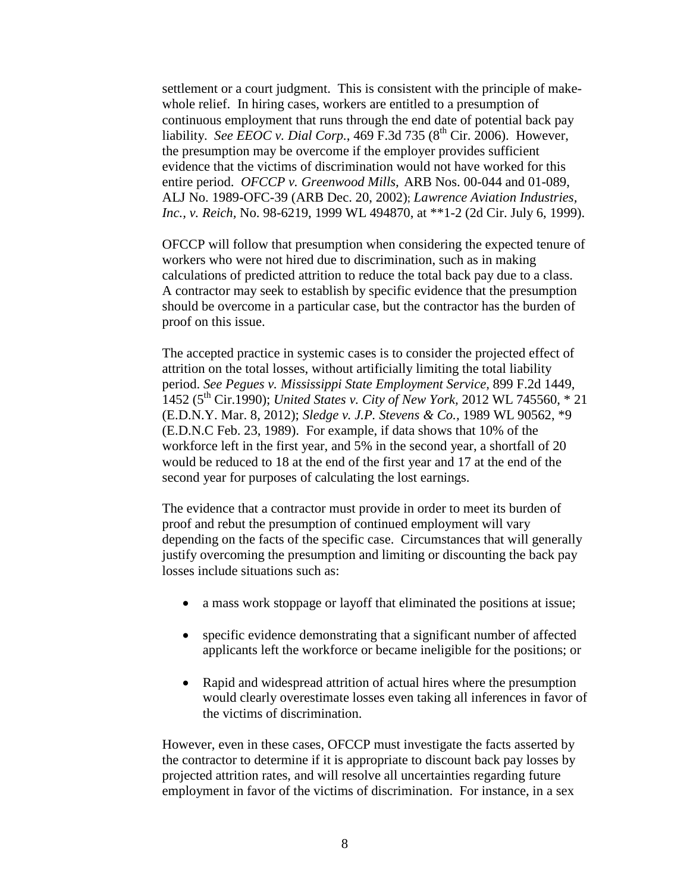settlement or a court judgment. This is consistent with the principle of makewhole relief. In hiring cases, workers are entitled to a presumption of continuous employment that runs through the end date of potential back pay liability. *See EEOC v. Dial Corp.*, 469 F.3d 735 ( $8<sup>th</sup>$  Cir. 2006). However, the presumption may be overcome if the employer provides sufficient evidence that the victims of discrimination would not have worked for this entire period. *OFCCP v. Greenwood Mills,* ARB Nos. 00-044 and 01-089, ALJ No. 1989-OFC-39 (ARB Dec. 20, 2002); *Lawrence Aviation Industries, Inc., v. Reich,* No. 98-6219, 1999 WL 494870, at \*\*1-2 (2d Cir. July 6, 1999).

OFCCP will follow that presumption when considering the expected tenure of workers who were not hired due to discrimination, such as in making calculations of predicted attrition to reduce the total back pay due to a class. A contractor may seek to establish by specific evidence that the presumption should be overcome in a particular case, but the contractor has the burden of proof on this issue.

The accepted practice in systemic cases is to consider the projected effect of attrition on the total losses, without artificially limiting the total liability period. *See Pegues v. Mississippi State Employment Service,* 899 F.2d 1449, 1452 (5th Cir.1990); *United States v. City of New York,* 2012 WL 745560, \* 21 (E.D.N.Y. Mar. 8, 2012); *Sledge v. J.P. Stevens & Co.,* 1989 WL 90562, \*9 (E.D.N.C Feb. 23, 1989). For example, if data shows that 10% of the workforce left in the first year, and 5% in the second year, a shortfall of 20 would be reduced to 18 at the end of the first year and 17 at the end of the second year for purposes of calculating the lost earnings.

The evidence that a contractor must provide in order to meet its burden of proof and rebut the presumption of continued employment will vary depending on the facts of the specific case. Circumstances that will generally justify overcoming the presumption and limiting or discounting the back pay losses include situations such as:

- a mass work stoppage or layoff that eliminated the positions at issue;
- specific evidence demonstrating that a significant number of affected applicants left the workforce or became ineligible for the positions; or
- Rapid and widespread attrition of actual hires where the presumption would clearly overestimate losses even taking all inferences in favor of the victims of discrimination.

However, even in these cases, OFCCP must investigate the facts asserted by the contractor to determine if it is appropriate to discount back pay losses by projected attrition rates, and will resolve all uncertainties regarding future employment in favor of the victims of discrimination. For instance, in a sex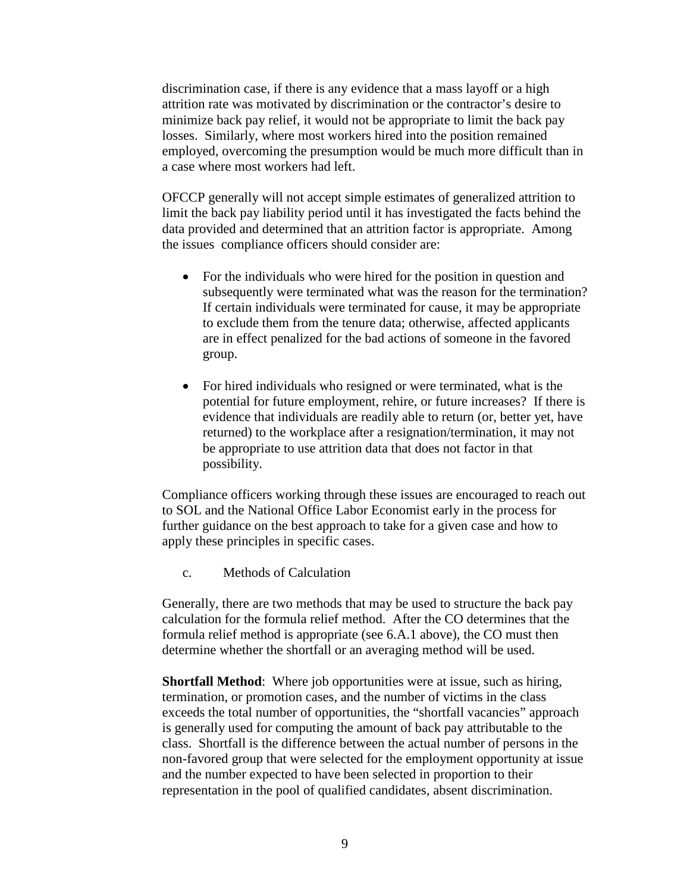discrimination case, if there is any evidence that a mass layoff or a high attrition rate was motivated by discrimination or the contractor's desire to minimize back pay relief, it would not be appropriate to limit the back pay losses. Similarly, where most workers hired into the position remained employed, overcoming the presumption would be much more difficult than in a case where most workers had left.

OFCCP generally will not accept simple estimates of generalized attrition to limit the back pay liability period until it has investigated the facts behind the data provided and determined that an attrition factor is appropriate. Among the issues compliance officers should consider are:

- For the individuals who were hired for the position in question and subsequently were terminated what was the reason for the termination? If certain individuals were terminated for cause, it may be appropriate to exclude them from the tenure data; otherwise, affected applicants are in effect penalized for the bad actions of someone in the favored group.
- For hired individuals who resigned or were terminated, what is the potential for future employment, rehire, or future increases? If there is evidence that individuals are readily able to return (or, better yet, have returned) to the workplace after a resignation/termination, it may not be appropriate to use attrition data that does not factor in that possibility.

Compliance officers working through these issues are encouraged to reach out to SOL and the National Office Labor Economist early in the process for further guidance on the best approach to take for a given case and how to apply these principles in specific cases.

c. Methods of Calculation

Generally, there are two methods that may be used to structure the back pay calculation for the formula relief method. After the CO determines that the formula relief method is appropriate (see 6.A.1 above), the CO must then determine whether the shortfall or an averaging method will be used.

**Shortfall Method**: Where job opportunities were at issue, such as hiring, termination, or promotion cases, and the number of victims in the class exceeds the total number of opportunities, the "shortfall vacancies" approach is generally used for computing the amount of back pay attributable to the class. Shortfall is the difference between the actual number of persons in the non-favored group that were selected for the employment opportunity at issue and the number expected to have been selected in proportion to their representation in the pool of qualified candidates, absent discrimination.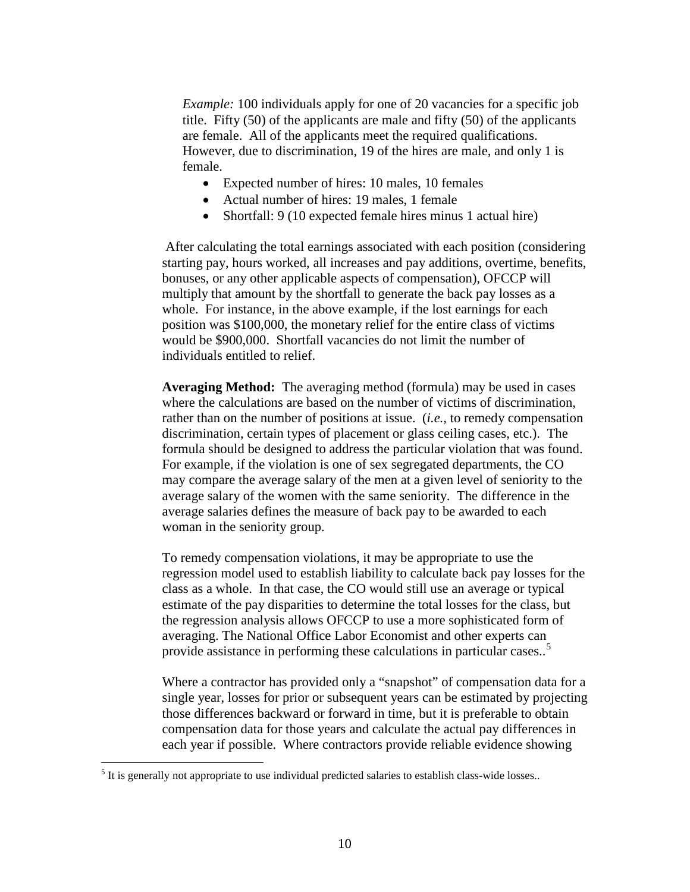*Example:* 100 individuals apply for one of 20 vacancies for a specific job title. Fifty (50) of the applicants are male and fifty (50) of the applicants are female. All of the applicants meet the required qualifications. However, due to discrimination, 19 of the hires are male, and only 1 is female.

- Expected number of hires: 10 males, 10 females
- Actual number of hires: 19 males, 1 female
- Shortfall: 9 (10 expected female hires minus 1 actual hire)

After calculating the total earnings associated with each position (considering starting pay, hours worked, all increases and pay additions, overtime, benefits, bonuses, or any other applicable aspects of compensation), OFCCP will multiply that amount by the shortfall to generate the back pay losses as a whole. For instance, in the above example, if the lost earnings for each position was \$100,000, the monetary relief for the entire class of victims would be \$900,000. Shortfall vacancies do not limit the number of individuals entitled to relief.

**Averaging Method:** The averaging method (formula) may be used in cases where the calculations are based on the number of victims of discrimination, rather than on the number of positions at issue. (*i.e.,* to remedy compensation discrimination, certain types of placement or glass ceiling cases, etc.). The formula should be designed to address the particular violation that was found. For example, if the violation is one of sex segregated departments, the CO may compare the average salary of the men at a given level of seniority to the average salary of the women with the same seniority. The difference in the average salaries defines the measure of back pay to be awarded to each woman in the seniority group.

To remedy compensation violations, it may be appropriate to use the regression model used to establish liability to calculate back pay losses for the class as a whole. In that case, the CO would still use an average or typical estimate of the pay disparities to determine the total losses for the class, but the regression analysis allows OFCCP to use a more sophisticated form of averaging. The National Office Labor Economist and other experts can provide assistance in performing these calculations in particular cases..<sup>[5](#page-9-0)</sup>

Where a contractor has provided only a "snapshot" of compensation data for a single year, losses for prior or subsequent years can be estimated by projecting those differences backward or forward in time, but it is preferable to obtain compensation data for those years and calculate the actual pay differences in each year if possible. Where contractors provide reliable evidence showing

<span id="page-9-0"></span><sup>&</sup>lt;sup>5</sup> It is generally not appropriate to use individual predicted salaries to establish class-wide losses..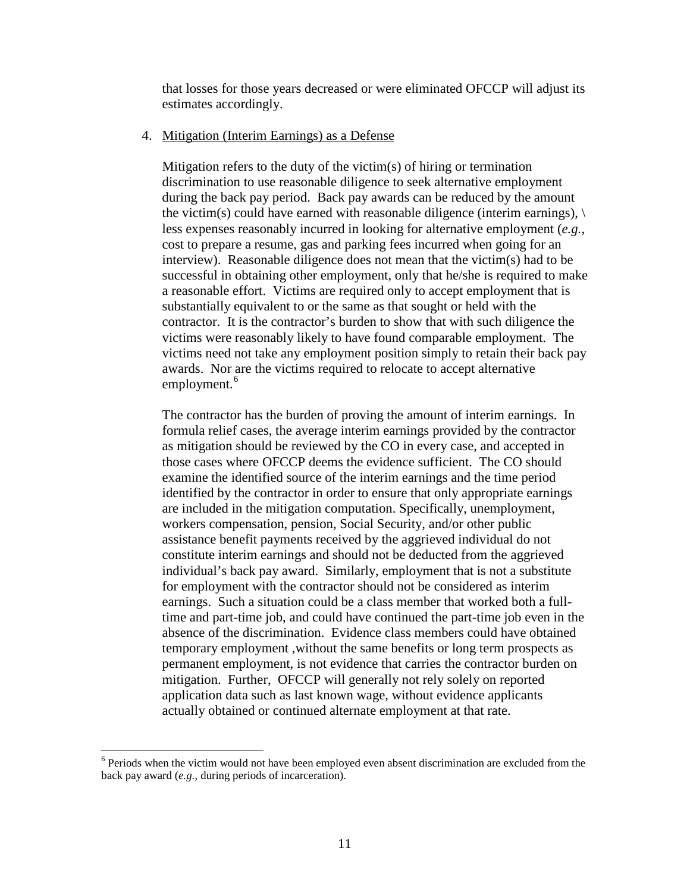that losses for those years decreased or were eliminated OFCCP will adjust its estimates accordingly.

#### 4. Mitigation (Interim Earnings) as a Defense

Mitigation refers to the duty of the victim(s) of hiring or termination discrimination to use reasonable diligence to seek alternative employment during the back pay period. Back pay awards can be reduced by the amount the victim(s) could have earned with reasonable diligence (interim earnings),  $\langle \rangle$ less expenses reasonably incurred in looking for alternative employment (*e.g.*, cost to prepare a resume, gas and parking fees incurred when going for an interview). Reasonable diligence does not mean that the victim(s) had to be successful in obtaining other employment, only that he/she is required to make a reasonable effort. Victims are required only to accept employment that is substantially equivalent to or the same as that sought or held with the contractor. It is the contractor's burden to show that with such diligence the victims were reasonably likely to have found comparable employment. The victims need not take any employment position simply to retain their back pay awards. Nor are the victims required to relocate to accept alternative employment.<sup>[6](#page-10-0)</sup>

The contractor has the burden of proving the amount of interim earnings. In formula relief cases, the average interim earnings provided by the contractor as mitigation should be reviewed by the CO in every case, and accepted in those cases where OFCCP deems the evidence sufficient. The CO should examine the identified source of the interim earnings and the time period identified by the contractor in order to ensure that only appropriate earnings are included in the mitigation computation. Specifically, unemployment, workers compensation, pension, Social Security, and/or other public assistance benefit payments received by the aggrieved individual do not constitute interim earnings and should not be deducted from the aggrieved individual's back pay award. Similarly, employment that is not a substitute for employment with the contractor should not be considered as interim earnings. Such a situation could be a class member that worked both a fulltime and part-time job, and could have continued the part-time job even in the absence of the discrimination. Evidence class members could have obtained temporary employment ,without the same benefits or long term prospects as permanent employment, is not evidence that carries the contractor burden on mitigation. Further, OFCCP will generally not rely solely on reported application data such as last known wage, without evidence applicants actually obtained or continued alternate employment at that rate.

<span id="page-10-0"></span><sup>&</sup>lt;sup>6</sup> Periods when the victim would not have been employed even absent discrimination are excluded from the back pay award (*e.g.*, during periods of incarceration).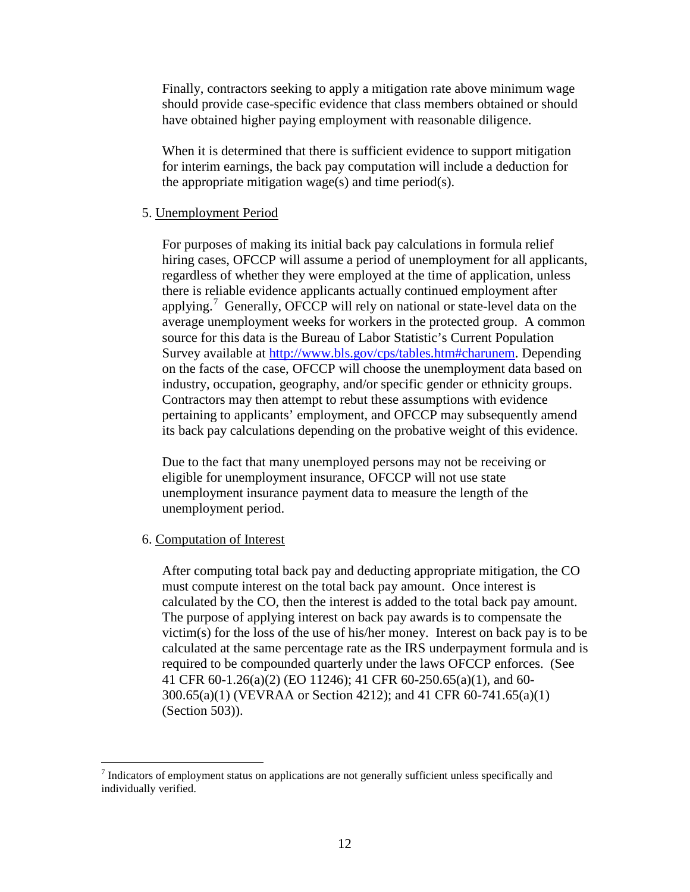Finally, contractors seeking to apply a mitigation rate above minimum wage should provide case-specific evidence that class members obtained or should have obtained higher paying employment with reasonable diligence.

When it is determined that there is sufficient evidence to support mitigation for interim earnings, the back pay computation will include a deduction for the appropriate mitigation wage(s) and time period(s).

## 5. Unemployment Period

For purposes of making its initial back pay calculations in formula relief hiring cases, OFCCP will assume a period of unemployment for all applicants, regardless of whether they were employed at the time of application, unless there is reliable evidence applicants actually continued employment after applying.<sup>[7](#page-11-0)</sup> Generally, OFCCP will rely on national or state-level data on the average unemployment weeks for workers in the protected group. A common source for this data is the Bureau of Labor Statistic's Current Population Survey available at [http://www.bls.gov/cps/tables.htm#charunem.](http://www.bls.gov/cps/tables.htm#charunem) Depending on the facts of the case, OFCCP will choose the unemployment data based on industry, occupation, geography, and/or specific gender or ethnicity groups. Contractors may then attempt to rebut these assumptions with evidence pertaining to applicants' employment, and OFCCP may subsequently amend its back pay calculations depending on the probative weight of this evidence.

 Due to the fact that many unemployed persons may not be receiving or eligible for unemployment insurance, OFCCP will not use state unemployment insurance payment data to measure the length of the unemployment period.

#### 6. Computation of Interest

 $\overline{a}$ 

After computing total back pay and deducting appropriate mitigation, the CO must compute interest on the total back pay amount. Once interest is calculated by the CO, then the interest is added to the total back pay amount. The purpose of applying interest on back pay awards is to compensate the victim(s) for the loss of the use of his/her money. Interest on back pay is to be calculated at the same percentage rate as the IRS underpayment formula and is required to be compounded quarterly under the laws OFCCP enforces. (See 41 CFR 60-1.26(a)(2) (EO 11246); 41 CFR 60-250.65(a)(1), and 60- 300.65(a)(1) (VEVRAA or Section 4212); and 41 CFR 60-741.65(a)(1) (Section 503)).

<span id="page-11-0"></span><sup>&</sup>lt;sup>7</sup> Indicators of employment status on applications are not generally sufficient unless specifically and individually verified.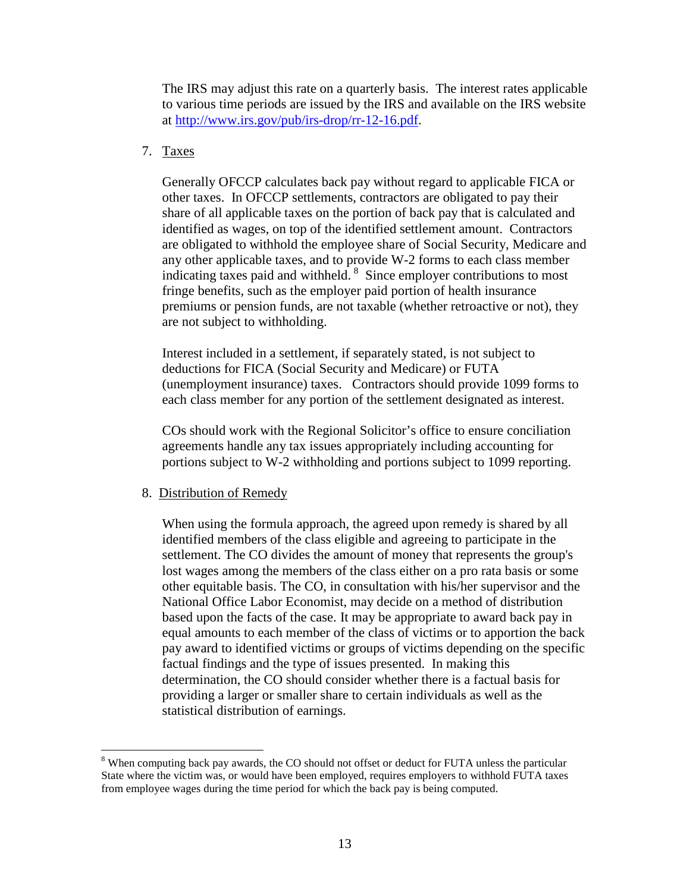The IRS may adjust this rate on a quarterly basis. The interest rates applicable to various time periods are issued by the IRS and available on the IRS website at [http://www.irs.gov/pub/irs-drop/rr-12-16.pdf.](http://www.irs.gov/pub/irs-drop/rr-12-16.pdf)

## 7. Taxes

Generally OFCCP calculates back pay without regard to applicable FICA or other taxes. In OFCCP settlements, contractors are obligated to pay their share of all applicable taxes on the portion of back pay that is calculated and identified as wages, on top of the identified settlement amount. Contractors are obligated to withhold the employee share of Social Security, Medicare and any other applicable taxes, and to provide W-2 forms to each class member indicating taxes paid and withheld. <sup>[8](#page-12-0)</sup> Since employer contributions to most fringe benefits, such as the employer paid portion of health insurance premiums or pension funds, are not taxable (whether retroactive or not), they are not subject to withholding.

Interest included in a settlement, if separately stated, is not subject to deductions for FICA (Social Security and Medicare) or FUTA (unemployment insurance) taxes. Contractors should provide 1099 forms to each class member for any portion of the settlement designated as interest.

COs should work with the Regional Solicitor's office to ensure conciliation agreements handle any tax issues appropriately including accounting for portions subject to W-2 withholding and portions subject to 1099 reporting.

## 8. Distribution of Remedy

 $\overline{a}$ 

When using the formula approach, the agreed upon remedy is shared by all identified members of the class eligible and agreeing to participate in the settlement. The CO divides the amount of money that represents the group's lost wages among the members of the class either on a pro rata basis or some other equitable basis. The CO, in consultation with his/her supervisor and the National Office Labor Economist, may decide on a method of distribution based upon the facts of the case. It may be appropriate to award back pay in equal amounts to each member of the class of victims or to apportion the back pay award to identified victims or groups of victims depending on the specific factual findings and the type of issues presented. In making this determination, the CO should consider whether there is a factual basis for providing a larger or smaller share to certain individuals as well as the statistical distribution of earnings.

<span id="page-12-0"></span><sup>&</sup>lt;sup>8</sup> When computing back pay awards, the CO should not offset or deduct for FUTA unless the particular State where the victim was, or would have been employed, requires employers to withhold FUTA taxes from employee wages during the time period for which the back pay is being computed.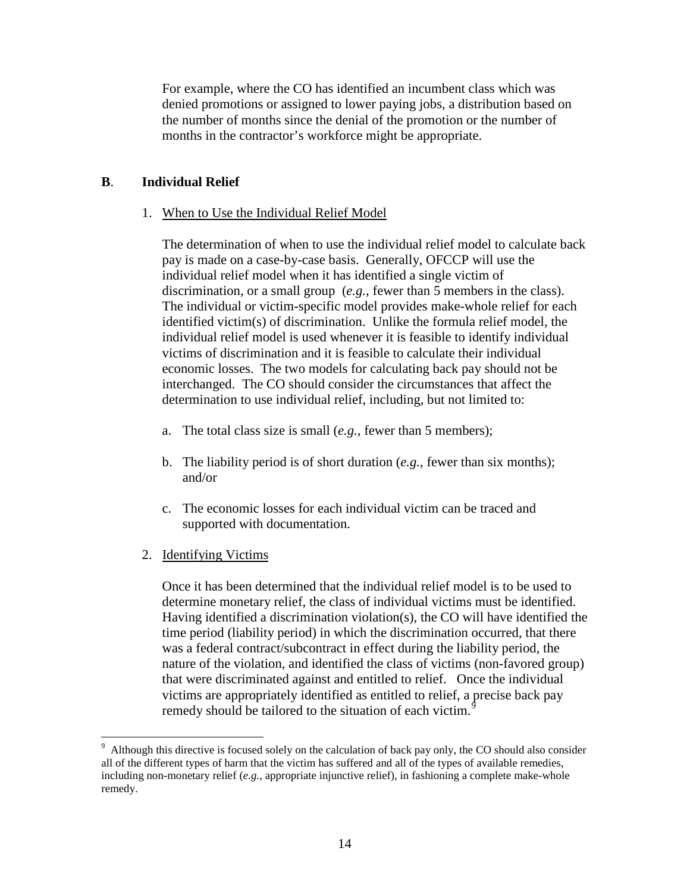For example, where the CO has identified an incumbent class which was denied promotions or assigned to lower paying jobs, a distribution based on the number of months since the denial of the promotion or the number of months in the contractor's workforce might be appropriate.

## **B**. **Individual Relief**

## 1. When to Use the Individual Relief Model

The determination of when to use the individual relief model to calculate back pay is made on a case-by-case basis. Generally, OFCCP will use the individual relief model when it has identified a single victim of discrimination, or a small group (*e.g.*, fewer than 5 members in the class). The individual or victim-specific model provides make-whole relief for each identified victim(s) of discrimination. Unlike the formula relief model, the individual relief model is used whenever it is feasible to identify individual victims of discrimination and it is feasible to calculate their individual economic losses. The two models for calculating back pay should not be interchanged. The CO should consider the circumstances that affect the determination to use individual relief, including, but not limited to:

- a. The total class size is small (*e.g.*, fewer than 5 members);
- b. The liability period is of short duration (*e.g.*, fewer than six months); and/or
- c. The economic losses for each individual victim can be traced and supported with documentation.
- 2. Identifying Victims

 $\overline{a}$ 

Once it has been determined that the individual relief model is to be used to determine monetary relief, the class of individual victims must be identified. Having identified a discrimination violation(s), the CO will have identified the time period (liability period) in which the discrimination occurred, that there was a federal contract/subcontract in effect during the liability period, the nature of the violation, and identified the class of victims (non-favored group) that were discriminated against and entitled to relief. Once the individual victims are appropriately identified as entitled to relief, a precise back pay remedy should be tailored to the situation of each victim.<sup>[9](#page-13-0)</sup>

<span id="page-13-0"></span> $9$  Although this directive is focused solely on the calculation of back pay only, the CO should also consider all of the different types of harm that the victim has suffered and all of the types of available remedies, including non-monetary relief (*e.g.*, appropriate injunctive relief), in fashioning a complete make-whole remedy.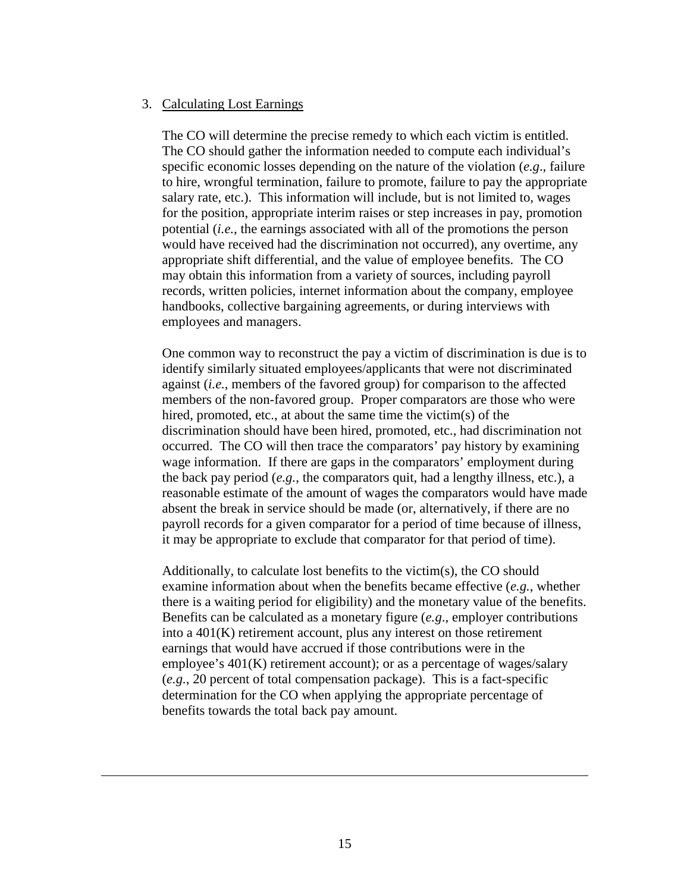#### 3. Calculating Lost Earnings

 $\overline{a}$ 

The CO will determine the precise remedy to which each victim is entitled. The CO should gather the information needed to compute each individual's specific economic losses depending on the nature of the violation (*e.g*., failure to hire, wrongful termination, failure to promote, failure to pay the appropriate salary rate, etc.). This information will include, but is not limited to, wages for the position, appropriate interim raises or step increases in pay, promotion potential (*i.e.*, the earnings associated with all of the promotions the person would have received had the discrimination not occurred), any overtime, any appropriate shift differential, and the value of employee benefits. The CO may obtain this information from a variety of sources, including payroll records, written policies, internet information about the company, employee handbooks, collective bargaining agreements, or during interviews with employees and managers.

One common way to reconstruct the pay a victim of discrimination is due is to identify similarly situated employees/applicants that were not discriminated against (*i.e.*, members of the favored group) for comparison to the affected members of the non-favored group. Proper comparators are those who were hired, promoted, etc., at about the same time the victim(s) of the discrimination should have been hired, promoted, etc., had discrimination not occurred. The CO will then trace the comparators' pay history by examining wage information. If there are gaps in the comparators' employment during the back pay period (*e.g.*, the comparators quit, had a lengthy illness, etc.), a reasonable estimate of the amount of wages the comparators would have made absent the break in service should be made (or, alternatively, if there are no payroll records for a given comparator for a period of time because of illness, it may be appropriate to exclude that comparator for that period of time).

Additionally, to calculate lost benefits to the victim(s), the CO should examine information about when the benefits became effective (*e.g.*, whether there is a waiting period for eligibility) and the monetary value of the benefits. Benefits can be calculated as a monetary figure (*e.g*., employer contributions into a 401(K) retirement account, plus any interest on those retirement earnings that would have accrued if those contributions were in the employee's 401(K) retirement account); or as a percentage of wages/salary (*e.g.*, 20 percent of total compensation package). This is a fact-specific determination for the CO when applying the appropriate percentage of benefits towards the total back pay amount.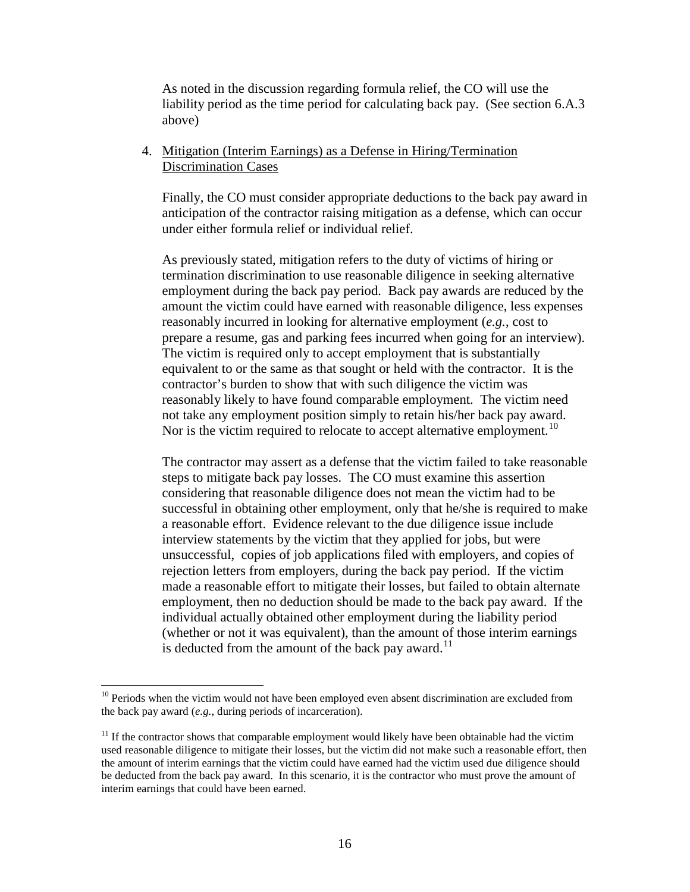As noted in the discussion regarding formula relief, the CO will use the liability period as the time period for calculating back pay. (See section 6.A.3 above)

## 4. Mitigation (Interim Earnings) as a Defense in Hiring/Termination Discrimination Cases

Finally, the CO must consider appropriate deductions to the back pay award in anticipation of the contractor raising mitigation as a defense, which can occur under either formula relief or individual relief.

As previously stated, mitigation refers to the duty of victims of hiring or termination discrimination to use reasonable diligence in seeking alternative employment during the back pay period. Back pay awards are reduced by the amount the victim could have earned with reasonable diligence, less expenses reasonably incurred in looking for alternative employment (*e.g.*, cost to prepare a resume, gas and parking fees incurred when going for an interview). The victim is required only to accept employment that is substantially equivalent to or the same as that sought or held with the contractor. It is the contractor's burden to show that with such diligence the victim was reasonably likely to have found comparable employment. The victim need not take any employment position simply to retain his/her back pay award. Nor is the victim required to relocate to accept alternative employment.<sup>[10](#page-15-0)</sup>

The contractor may assert as a defense that the victim failed to take reasonable steps to mitigate back pay losses. The CO must examine this assertion considering that reasonable diligence does not mean the victim had to be successful in obtaining other employment, only that he/she is required to make a reasonable effort. Evidence relevant to the due diligence issue include interview statements by the victim that they applied for jobs, but were unsuccessful, copies of job applications filed with employers, and copies of rejection letters from employers, during the back pay period. If the victim made a reasonable effort to mitigate their losses, but failed to obtain alternate employment, then no deduction should be made to the back pay award. If the individual actually obtained other employment during the liability period (whether or not it was equivalent), than the amount of those interim earnings is deducted from the amount of the back pay award.<sup>[11](#page-15-1)</sup>

<span id="page-15-0"></span> $10$  Periods when the victim would not have been employed even absent discrimination are excluded from the back pay award (*e.g.*, during periods of incarceration).

<span id="page-15-1"></span> $11$  If the contractor shows that comparable employment would likely have been obtainable had the victim used reasonable diligence to mitigate their losses, but the victim did not make such a reasonable effort, then the amount of interim earnings that the victim could have earned had the victim used due diligence should be deducted from the back pay award. In this scenario, it is the contractor who must prove the amount of interim earnings that could have been earned.